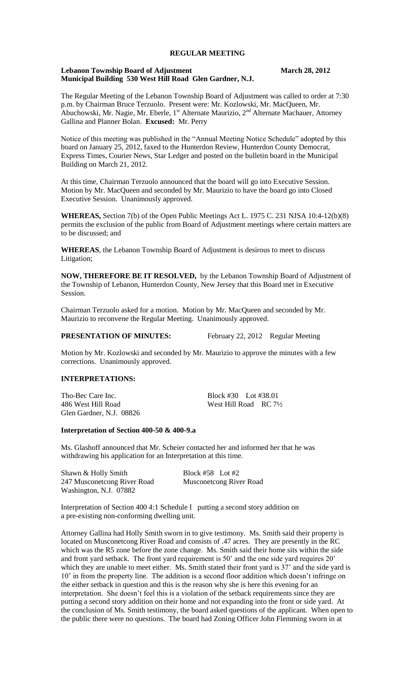## **REGULAR MEETING**

## **Lebanon Township Board of Adjustment March 28, 2012 Municipal Building 530 West Hill Road Glen Gardner, N.J.**

The Regular Meeting of the Lebanon Township Board of Adjustment was called to order at 7:30 p.m. by Chairman Bruce Terzuolo. Present were: Mr. Kozlowski, Mr. MacQueen, Mr. Abuchowski, Mr. Nagie, Mr. Eberle, 1<sup>st</sup> Alternate Maurizio, 2<sup>nd</sup> Alternate Machauer, Attorney Gallina and Planner Bolan. **Excused:** Mr. Perry

Notice of this meeting was published in the "Annual Meeting Notice Schedule" adopted by this board on January 25, 2012, faxed to the Hunterdon Review, Hunterdon County Democrat, Express Times, Courier News, Star Ledger and posted on the bulletin board in the Municipal Building on March 21, 2012.

At this time, Chairman Terzuolo announced that the board will go into Executive Session. Motion by Mr. MacQueen and seconded by Mr. Maurizio to have the board go into Closed Executive Session. Unanimously approved.

**WHEREAS,** Section 7(b) of the Open Public Meetings Act L. 1975 C. 231 NJSA 10:4-12(b)(8) permits the exclusion of the public from Board of Adjustment meetings where certain matters are to be discussed; and

**WHEREAS**, the Lebanon Township Board of Adjustment is desirous to meet to discuss Litigation;

**NOW, THEREFORE BE IT RESOLVED,** by the Lebanon Township Board of Adjustment of the Township of Lebanon, Hunterdon County, New Jersey that this Board met in Executive Session.

Chairman Terzuolo asked for a motion. Motion by Mr. MacQueen and seconded by Mr. Maurizio to reconvene the Regular Meeting. Unanimously approved.

**PRESENTATION OF MINUTES:** February 22, 2012 Regular Meeting

Motion by Mr. Kozlowski and seconded by Mr. Maurizio to approve the minutes with a few corrections. Unanimously approved.

#### **INTERPRETATIONS:**

Tho-Bec Care Inc. Block #30 Lot #38.01 486 West Hill Road West Hill Road RC 7<sup>1</sup>/<sub>2</sub> Glen Gardner, N.J. 08826

#### **Interpretation of Section 400-50 & 400-9.a**

Ms. Glashoff announced that Mr. Scheier contacted her and informed her that he was withdrawing his application for an Interpretation at this time.

| Shawn & Holly Smith         | Block #58 Lot #2               |
|-----------------------------|--------------------------------|
| 247 Musconetcong River Road | <b>Musconetcong River Road</b> |
| Washington, N.J. 07882      |                                |

Interpretation of Section 400 4:1 Schedule I putting a second story addition on a pre-existing non-conforming dwelling unit.

Attorney Gallina had Holly Smith sworn in to give testimony. Ms. Smith said their property is located on Musconetcong River Road and consists of .47 acres. They are presently in the RC which was the R5 zone before the zone change. Ms. Smith said their home sits within the side and front yard setback. The front yard requirement is 50' and the one side yard requires 20' which they are unable to meet either. Ms. Smith stated their front yard is 37' and the side yard is 10' in from the property line. The addition is a second floor addition which doesn't infringe on the either setback in question and this is the reason why she is here this evening for an interpretation. She doesn't feel this is a violation of the setback requirements since they are putting a second story addition on their home and not expanding into the front or side yard. At the conclusion of Ms. Smith testimony, the board asked questions of the applicant. When open to the public there were no questions. The board had Zoning Officer John Flemming sworn in at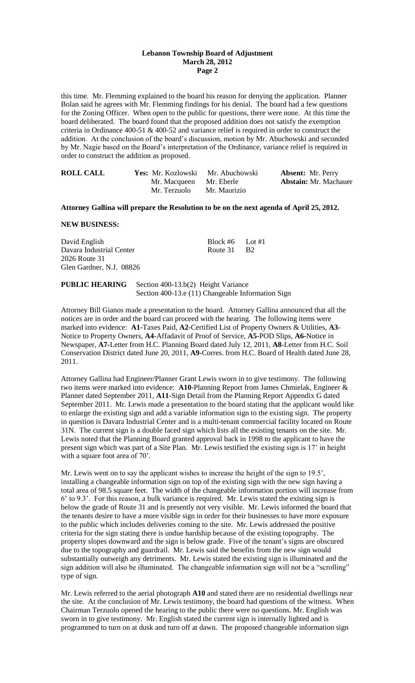## **Lebanon Township Board of Adjustment March 28, 2012 Page 2**

this time. Mr. Flemming explained to the board his reason for denying the application. Planner Bolan said he agrees with Mr. Flemming findings for his denial. The board had a few questions for the Zoning Officer. When open to the public for questions, there were none. At this time the board deliberated. The board found that the proposed addition does not satisfy the exemption criteria in Ordinance 400-51 & 400-52 and variance relief is required in order to construct the addition. At the conclusion of the board's discussion, motion by Mr. Abuchowski and seconded by Mr. Nagie based on the Board's interpretation of the Ordinance, variance relief is required in order to construct the addition as proposed.

| <b>ROLL CALL</b> | <b>Yes:</b> Mr. Kozlowski Mr. Abuchowski |              | <b>Absent:</b> Mr. Perry     |
|------------------|------------------------------------------|--------------|------------------------------|
|                  | Mr. Macqueen Mr. Eberle                  |              | <b>Abstain:</b> Mr. Machauer |
|                  | Mr. Terzuolo                             | Mr. Maurizio |                              |

#### **Attorney Gallina will prepare the Resolution to be on the next agenda of April 25, 2012.**

**NEW BUSINESS:**

David English Block #6 Lot #1 Davara Industrial Center Route 31 B2 2026 Route 31 Glen Gardner, N.J. 08826

**PUBLIC HEARING** Section 400-13.b(2) Height Variance Section 400-13.e (11) Changeable Information Sign

Attorney Bill Gianos made a presentation to the board. Attorney Gallina announced that all the notices are in order and the board can proceed with the hearing. The following items were marked into evidence: **A1-**Taxes Paid, **A2-**Certified List of Property Owners & Utilities, **A3**- Notice to Property Owners, **A4**-Affadavit of Proof of Service, **A5-**POD Slips, **A6-**Notice in Newspaper, **A7-**Letter from H.C. Planning Board dated July 12, 2011, **A8**-Letter from H.C. Soil Conservation District dated June 20, 2011, **A9-**Corres. from H.C. Board of Health dated June 28, 2011.

Attorney Gallina had Engineer/Planner Grant Lewis sworn in to give testimony. The following two items were marked into evidence: **A10**-Planning Report from James Chmielak, Engineer & Planner dated September 2011, **A11-**Sign Detail from the Planning Report Appendix G dated September 2011. Mr. Lewis made a presentation to the board stating that the applicant would like to enlarge the existing sign and add a variable information sign to the existing sign. The property in question is Davara Industrial Center and is a multi-tenant commercial facility located on Route 31N. The current sign is a double faced sign which lists all the existing tenants on the site. Mr. Lewis noted that the Planning Board granted approval back in 1998 to the applicant to have the present sign which was part of a Site Plan. Mr. Lewis testified the existing sign is 17' in height with a square foot area of 70'.

Mr. Lewis went on to say the applicant wishes to increase the height of the sign to 19.5', installing a changeable information sign on top of the existing sign with the new sign having a total area of 98.5 square feet. The width of the changeable information portion will increase from 6' to 9.3'. For this reason, a bulk variance is required. Mr. Lewis stated the existing sign is below the grade of Route 31 and is presently not very visible. Mr. Lewis informed the board that the tenants desire to have a more visible sign in order for their businesses to have more exposure to the public which includes deliveries coming to the site. Mr. Lewis addressed the positive criteria for the sign stating there is undue hardship because of the existing topography. The property slopes downward and the sign is below grade. Five of the tenant's signs are obscured due to the topography and guardrail. Mr. Lewis said the benefits from the new sign would substantially outweigh any detriments. Mr. Lewis stated the existing sign is illuminated and the sign addition will also be illuminated. The changeable information sign will not be a "scrolling" type of sign.

Mr. Lewis referred to the aerial photograph **A10** and stated there are no residential dwellings near the site. At the conclusion of Mr. Lewis testimony, the board had questions of the witness. When Chairman Terzuolo opened the hearing to the public there were no questions. Mr. English was sworn in to give testimony. Mr. English stated the current sign is internally lighted and is programmed to turn on at dusk and turn off at dawn. The proposed changeable information sign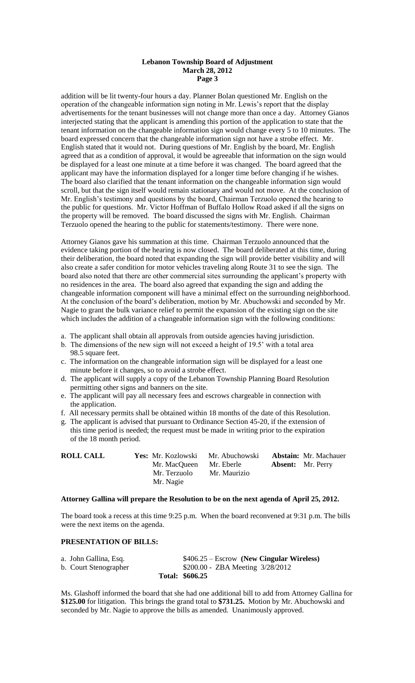## **Lebanon Township Board of Adjustment March 28, 2012 Page 3**

addition will be lit twenty-four hours a day. Planner Bolan questioned Mr. English on the operation of the changeable information sign noting in Mr. Lewis's report that the display advertisements for the tenant businesses will not change more than once a day. Attorney Gianos interjected stating that the applicant is amending this portion of the application to state that the tenant information on the changeable information sign would change every 5 to 10 minutes. The board expressed concern that the changeable information sign not have a strobe effect. Mr. English stated that it would not. During questions of Mr. English by the board, Mr. English agreed that as a condition of approval, it would be agreeable that information on the sign would be displayed for a least one minute at a time before it was changed. The board agreed that the applicant may have the information displayed for a longer time before changing if he wishes. The board also clarified that the tenant information on the changeable information sign would scroll, but that the sign itself would remain stationary and would not move. At the conclusion of Mr. English's testimony and questions by the board, Chairman Terzuolo opened the hearing to the public for questions. Mr. Victor Hoffman of Buffalo Hollow Road asked if all the signs on the property will be removed. The board discussed the signs with Mr. English. Chairman Terzuolo opened the hearing to the public for statements/testimony. There were none.

Attorney Gianos gave his summation at this time. Chairman Terzuolo announced that the evidence taking portion of the hearing is now closed. The board deliberated at this time, during their deliberation, the board noted that expanding the sign will provide better visibility and will also create a safer condition for motor vehicles traveling along Route 31 to see the sign. The board also noted that there are other commercial sites surrounding the applicant's property with no residences in the area. The board also agreed that expanding the sign and adding the changeable information component will have a minimal effect on the surrounding neighborhood. At the conclusion of the board's deliberation, motion by Mr. Abuchowski and seconded by Mr. Nagie to grant the bulk variance relief to permit the expansion of the existing sign on the site which includes the addition of a changeable information sign with the following conditions:

- a. The applicant shall obtain all approvals from outside agencies having jurisdiction.
- b. The dimensions of the new sign will not exceed a height of 19.5' with a total area 98.5 square feet.
- c. The information on the changeable information sign will be displayed for a least one minute before it changes, so to avoid a strobe effect.
- d. The applicant will supply a copy of the Lebanon Township Planning Board Resolution permitting other signs and banners on the site.
- e. The applicant will pay all necessary fees and escrows chargeable in connection with the application.
- f. All necessary permits shall be obtained within 18 months of the date of this Resolution.
- g. The applicant is advised that pursuant to Ordinance Section 45-20, if the extension of this time period is needed; the request must be made in writing prior to the expiration of the 18 month period.

| <b>ROLL CALL</b> | <b>Yes:</b> Mr. Kozlowski Mr. Abuchowski             |              | <b>Abstain:</b> Mr. Machauer |
|------------------|------------------------------------------------------|--------------|------------------------------|
|                  | Mr. MacQueen Mr. Eberle<br>Mr. Terzuolo<br>Mr. Nagie | Mr. Maurizio | <b>Absent:</b> Mr. Perry     |
|                  |                                                      |              |                              |

## **Attorney Gallina will prepare the Resolution to be on the next agenda of April 25, 2012.**

The board took a recess at this time 9:25 p.m. When the board reconvened at 9:31 p.m. The bills were the next items on the agenda.

## **PRESENTATION OF BILLS:**

| a. John Gallina, Esq. | $$406.25 - Escrow$ (New Cingular Wireless) |
|-----------------------|--------------------------------------------|
| b. Court Stenographer | $$200.00 - ZBA Meeting \frac{3}{28}{2012}$ |
|                       | Total: \$606.25                            |

Ms. Glashoff informed the board that she had one additional bill to add from Attorney Gallina for **\$125.00** for litigation. This brings the grand total to **\$731.25.** Motion by Mr. Abuchowski and seconded by Mr. Nagie to approve the bills as amended. Unanimously approved.